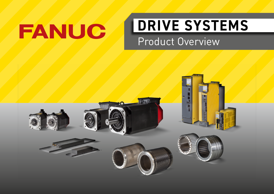# FANUC

# **DRIVE SYSTEMS**

Product Overview

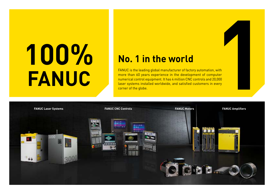# **100%FANUC**

## **No. 1 in the world**

FANUC is the leading global manufacturer of factory automation, with more than 60 years experience in the development of computer numerical control equipment. It has 4 million CNC controls and 20,000 laser systems installed worldwide, and satisfied customers in every corner of the globe.

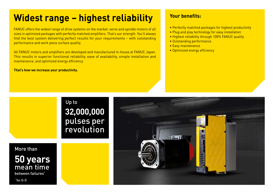# **Widest range – highest reliability**

FANUC offers the widest range of drive systems on the market: servo and spindle motors of all sizes in optimized packages with perfectly matched amplifiers. That's our strength. You'll always find the best system delivering perfect results for your requirements – with outstanding performance and work piece surface quality.

All FANUC motors and amplifiers are developed and manufactured in-house at FANUC Japan. This results in superior functional reliability, ease of availability, simple installation and maintenance, and optimized energy efficiency.

**That's how we increase your productivity.**

#### **Your benefits:**

- Perfectly matched packages for highest productivity
- Plug and play technology for easy installation
- Highest reliability through 100% FANUC quality
- Outstanding performance
- Easy maintenance
- Optimized energy efficiency

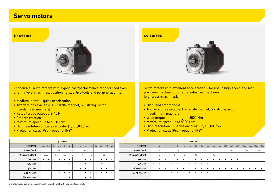#### **Servo motors**





Economical servo motors with a good cost/performance ratio for feed axes of entry level machines, positioning axis, live tools and peripheral units.

- Medium inertia quick acceleration
- Two versions available: F ferrite magnet, S strong motor (neodymium magnets)
- Rated torque output 0.2-40 Nm
- Smooth rotation
- Maximum speed up to 6000 rpm
- High resolution *βi* Series encoder (1,000,000/rev)
- Protection class IP65 optional IP67

Servo motors with excellent acceleration – for use in high speed and high precision machining for large industrial machines (e.g. press-machines).

- High feed smoothness
- Two versions available: F ferrite magnet, S strong motor (neodymium magnets)
- Wide torque output range 1-3000 Nm
- Maximum speed up to 8000 rpm
- High resolution *αi* Series encoder (32,000,000/rev)
- Protection class IP65 optional IP67

|                          |     |      |     |      | $\beta$ <i>i</i> series |                |   |   |     |    |    |    |     |           |
|--------------------------|-----|------|-----|------|-------------------------|----------------|---|---|-----|----|----|----|-----|-----------|
| <b>Torque [Nm]</b>       | 0.2 | 0.3  | 0.4 | 0.5  |                         | $\overline{2}$ | 4 | 4 | 8   | 12 | 12 | 22 | 30  | 40        |
| Flange [mm]              |     | 40   |     | 60   |                         | 90             |   |   | 130 |    |    |    | 174 |           |
| <b>Brake option [Nm]</b> |     | 0.32 |     | 0.65 | 1.2                     | 3              |   | 8 |     | 12 |    | 35 |     |           |
| $\beta$ is 200V          | ٠   | ٠    | ٠   | ٠    | ٠                       | ٠              | ٠ |   | ٠   | ٠  |    | ٠  | ٠   | $\bullet$ |
| $\beta$ iSc 200V         |     |      |     |      |                         | ٠              | ٠ |   | ٠   | ٠  |    | ٠  |     |           |
| $\beta i$ F200V          |     |      |     |      |                         |                |   | ٠ | ٠   |    | ٠  | ٠  | ٠   |           |
| $\beta i$ S (HV) 400V    |     |      |     | ٠    | ٠                       | ٠              | ٠ |   | ٠   | ٠  |    | ٠  | ٠   | ٠         |
| $\beta$ iSc (HV) 400V    |     |      |     |      |                         | ٠              | ٠ |   | ٠   | ٠  |    |    |     |           |

|                         |      |           | $\beta i$ series          |           |           |           |           |           |    |           |              |   |                          |           |           |           |           |           |           | $\alpha i$ series |    |    |           |    |    |           |           |                          |           |                                             |           |
|-------------------------|------|-----------|---------------------------|-----------|-----------|-----------|-----------|-----------|----|-----------|--------------|---|--------------------------|-----------|-----------|-----------|-----------|-----------|-----------|-------------------|----|----|-----------|----|----|-----------|-----------|--------------------------|-----------|---------------------------------------------|-----------|
| $0.2$   0.3   0.4   0.5 |      |           |                           | $\gamma$  |           | 4         | 8         | 12        | 12 | 22        | $30 \mid 40$ |   | Torque [Nm]              |           | $\bigcap$ |           |           | 8         | 12        | 12                | 22 | 30 | 40        | 50 | 60 |           |           |                          |           | 150   300   500   1000   1500   2000   3000 |           |
| 40                      |      | 60        |                           |           | 90        |           | 130       |           |    | 174       |              |   | Flange [mm]              |           | 90        |           |           | 130       |           |                   |    |    | 174       |    |    | 265       |           | 380                      |           | 500                                         |           |
| 0.32                    | 0.65 |           | 1 <sub>0</sub><br>$\cdot$ | A.        |           |           | 8         | 12        |    | 35        |              |   | <b>Brake option [Nm]</b> |           |           |           | 8         |           | 12        |                   | 35 |    |           | 70 |    |           |           | $\overline{\phantom{a}}$ |           |                                             |           |
| $\bullet$<br>$\bullet$  |      | $\bullet$ | $\bullet$                 | $\bullet$ | $\bullet$ |           |           |           |    | $\bullet$ | $\bullet$    | ٠ | $\alpha i$ S 200V        |           | $\bullet$ | $\bullet$ |           |           |           |                   |    |    |           |    |    | $\bullet$ | $\bullet$ |                          |           |                                             |           |
|                         |      |           |                           | $\bullet$ | $\bullet$ |           |           |           |    | $\bullet$ |              |   | $\alpha i$ F 200V        | $\bullet$ | $\bullet$ |           | $\bullet$ | $\bullet$ |           |                   |    |    | $\bullet$ |    |    |           |           |                          |           |                                             |           |
|                         |      |           |                           |           |           | $\bullet$ | $\bullet$ |           |    |           | $\bullet$    |   | $\alpha$ is (HV) 400V    |           | $\bullet$ | $\bullet$ |           | $\bullet$ | $\bullet$ |                   |    |    |           |    | ٠  | ٠         | $\bullet$ | $\bullet$                | $\bullet$ |                                             | $\bullet$ |
|                         |      | $\bullet$ | $\bullet$                 | $\bullet$ | $\bullet$ |           |           |           |    |           |              |   | $\alpha$ iF (HV) 400V    |           |           |           | $\bullet$ |           |           |                   |    |    |           |    |    |           |           |                          |           |                                             |           |
|                         |      |           |                           | $\bullet$ | $\bullet$ |           | $\bullet$ | $\bullet$ |    |           |              |   |                          |           |           |           |           |           |           |                   |    |    |           |    |    |           |           |                          |           |                                             |           |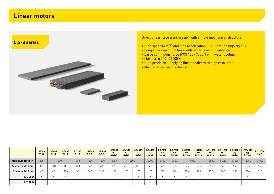#### **Linear motors**



Direct linear force transmission with simple mechanical structure.

- High speed (4m/s) and high acceleration (30G) through high rigidity
- Long stroke and high force with multi head configuration
- Large continuous force (WC) 120–7750N with water cooling
- Max. force 300–21000N
- High precision applying linear scales with high resolution
- Maintenance free mechanism

|                                   | LiS300<br>$S1-B$ | Li5600<br>$S1-B$ | $Li$ 5600<br>$S2-B$ | $Li$ 5900<br>$S1-B$ | LiS1200<br>$S2-B$ | LiS1800<br>$S2-B$ | $Li$ 53000<br>M <sub>2</sub><br>$(HV) - B$ | LiS4500<br>M <sub>2</sub><br>$(HV) - B$ | $Li$ S4500<br>M <sub>3</sub><br>$(HV)-B$ | Li56000<br>M <sub>2</sub><br>$(HV) - B$ | Li57000<br>M <sub>3</sub><br>$(HV)-B$ | $Li$ S7500<br>M <sub>2</sub><br>$(HV) - B$ | $Li$ S9000<br>M <sub>2</sub><br>$(HV) - B$ | LiS9000<br>M <sub>3</sub><br>$(HV)-B$ | LiS11000<br>M <sub>2</sub><br>$(HV)-B$ | LiS11000<br>M <sub>3</sub><br>$(HV)-B$ | LiS14000<br>M <sub>3</sub><br>$(HV) - B$ | Li516000<br>M <sub>3</sub><br>$(HV)-B$ | LiS21000<br>$L4-B$ |
|-----------------------------------|------------------|------------------|---------------------|---------------------|-------------------|-------------------|--------------------------------------------|-----------------------------------------|------------------------------------------|-----------------------------------------|---------------------------------------|--------------------------------------------|--------------------------------------------|---------------------------------------|----------------------------------------|----------------------------------------|------------------------------------------|----------------------------------------|--------------------|
| Maximum force [N]                 | 300              |                  | 600                 | 900                 | 1200              | 1800              | 3000                                       |                                         | 4500                                     | 6000                                    | 6750                                  | 7500                                       |                                            | 9000                                  | 10500                                  | 11250                                  | 13500                                    | 15750                                  | 21000              |
| Slider length [mm]                | 80               | 140              | 80                  | 200                 | 140               | 200               | 295                                        | 415                                     | 305                                      | 535                                     | 425                                   | 655                                        | 775                                        | 545                                   | 895                                    | 665                                    | 545                                      | 895                                    | 665                |
| Slider width [mm]                 | 60               | 60               | 100                 | 60                  | 100               | 100               | 150                                        | 150                                     | 200                                      | 150                                     | 200                                   | 150                                        | 150                                        | 200                                   | 150                                    | 200                                    | 200                                      | 200                                    | 340                |
| L <sub>i</sub> S 200V             |                  |                  | $\bullet$           |                     | -                 |                   |                                            |                                         |                                          |                                         |                                       |                                            |                                            |                                       |                                        |                                        |                                          | $\bullet$                              |                    |
| L <sub>i</sub> S <sub>400</sub> V |                  |                  | $\bullet$           |                     | $\bullet$         |                   |                                            |                                         |                                          |                                         |                                       |                                            |                                            |                                       |                                        |                                        |                                          | ٠                                      |                    |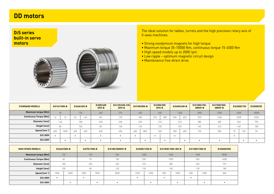#### **DD motors**

#### **D***i***S seriesbuilt-in servo motors**



The ideal solution for tables, turrets and the high precision rotary axis of 5-axes machines.

- Strong neodymium magnets for high torque
- Maximum torque 35-10000 Nm, continuous torque 15-4500 Nm
- High speed models up to 2000 rpm
- Low ripple optimum magnetic circuit design
- Maintenance free direct drive

| <b>STANDARD MODELS</b> | D <sub>i</sub> S15/1000-B |      |     | $D_iS60/400-B$   | $D_i$ S80/400<br>$(HV)-B$ | $DiS120/600-230$<br>$(HV)-B$ | D <sub>i</sub> S180/800-B | D <sub>i</sub> S300/300 | $(HV)-B$ |           | $D_i$ S600/600-B | $D_i$ S1000/150-<br>385HV-B | $D_iS1500/300-$<br>385HV-B |          | D <sub>i</sub> S2000/150 | D <sub>i</sub> S5000/50 |
|------------------------|---------------------------|------|-----|------------------|---------------------------|------------------------------|---------------------------|-------------------------|----------|-----------|------------------|-----------------------------|----------------------------|----------|--------------------------|-------------------------|
| Maximum torque [Nm]    |                           | 35   |     | 130 <sup>1</sup> | 200                       | 275                          | 400                       |                         | 600      |           | 1200             | 1800                        | 2500                       | 4000     |                          | 10000                   |
| Continuous Torque [Nm] |                           | 15   | 65  | 60               | 80                        | 120                          | 180                       | 270                     | 280      | 550       | 620              | 920                         | 1340                       |          | 2200                     | 4500                    |
| Diameter [mm]          |                           | 140  |     | 180              | 230                       | 230                          | 230                       |                         | 310      |           | 310              | 385                         | 385                        | 565      |                          | 795                     |
| Height $[mm]$          |                           | 80   |     | 100              | 80                        | 100                          | 120                       |                         | 100      |           | 150              | 160                         | 210                        |          | 160                      | 180                     |
| Speed [min-1]          | 600                       | 1000 | 200 | 400              | 400                       | 600                          | 400<br>800                |                         | 300      | 300       | 600              | 150                         | 300                        | 75<br>70 | 150                      | 50                      |
| Dis 200V               |                           |      |     |                  |                           |                              |                           | - 1                     |          | $\bullet$ |                  |                             |                            |          |                          |                         |
| $Dis$ 400V             |                           |      |     |                  |                           |                              |                           |                         |          |           |                  |                             |                            |          |                          |                         |

| <b>HIGH SPEED MODELS</b> |      | $D_iS60/2000-B$ |           | $D_i$ S70/1500-B | D <sub>i</sub> S180/3000HV-B |           | $D_i$ S500/1200-B |     | D <sub>i</sub> S1000/1000-385-B | D <sub>i</sub> S1000/1000-B |      | $D_i$ S5000/500 |
|--------------------------|------|-----------------|-----------|------------------|------------------------------|-----------|-------------------|-----|---------------------------------|-----------------------------|------|-----------------|
| Maximum torque [Nm]      |      | 120             |           | 130              | 360                          |           | 1000              |     | 1600                            |                             | 1600 | 8000            |
| Continuous Torque [Nm]   |      | 60              |           | 70               | 150                          |           | 550               |     | 1090                            | 960                         |      | 4500            |
| Diameter [mm]            |      | 180             |           | 230              | 230                          |           | 310               |     | 385                             |                             | 455  | 795             |
| Height [mm]              |      | 100             |           | 80               | 120                          |           | 150               |     | 160                             |                             | 130  | 180             |
| Speed $[min^{-1}]$       | 1000 | 2000            | 1000      | 1500             | 3000                         | 1200      | 1200              | 500 | 1000                            | 500                         | 1000 | 500             |
| D <sub>i</sub> S 200V    |      |                 | $\bullet$ |                  |                              | $\bullet$ |                   |     |                                 | $\bullet$                   |      |                 |
| D <sub>i</sub> S 400V    |      |                 |           |                  |                              |           |                   |     |                                 |                             |      |                 |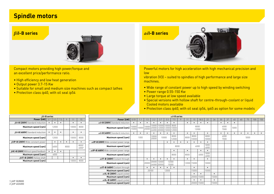#### **Spindle motors**



Compact motors providing high power/torque and an excellent price/performance ratio. an excellent price/performance ratio.

- High efficiency and low heat generation
- Output power  $3.7$ -15 Kw  $\overline{\phantom{a}}$
- $\bullet$  Suitable for small and medium size machines such as compact lathes
- Protection class *i*p40, with oil seal *i*p54 **compact latin as compact latin as compact** later in • protection class IP40, with oil seal IP54



Powerful motors for high acceleration with high mechanical precision and<br>' vibration (V3) – suited for spindles on high performance and large size low

vibration (V3) – suited to spindles of high performance and large size  $\,$ machines.

- $\bullet$  Wide range of constant power up to high speed by winding switching  $\hspace{0.1mm}$
- power range 0.55-150 kW Power range 0.55-150 Kw
- large torque at low speed available Large torque at low speed available
- Special versions with hollow shaft for centre-through-coolant or liquid cooled motors available Cooled motors available
- Protection class *i*p40, with oil seal *i*p54, ip65 as option for some models

| 3.7       | 5.5  | 7.5                 | 9              | 11    | 15             |
|-----------|------|---------------------|----------------|-------|----------------|
|           |      |                     |                |       |                |
|           |      |                     |                | 10000 | 8000           |
|           |      |                     |                |       |                |
|           |      |                     |                | 10000 | 8000           |
|           |      |                     |                |       |                |
|           | 6000 |                     |                |       | 80001<br>60002 |
| $\bullet$ |      |                     |                |       |                |
|           | 6000 |                     |                |       |                |
|           |      |                     |                |       |                |
|           |      |                     |                | 10000 | 8000           |
|           |      | $\beta$ il-B series | 12000<br>12000 |       | 8000           |

|                                          |                |           |                |                      |                                                       |           | $\alpha i$ l-B series  |      |           |               |           |               |       |           |              |           |           |           |           |           |
|------------------------------------------|----------------|-----------|----------------|----------------------|-------------------------------------------------------|-----------|------------------------|------|-----------|---------------|-----------|---------------|-------|-----------|--------------|-----------|-----------|-----------|-----------|-----------|
| Power [kW]                               | 0.55           | 1.1       | 1.5            | 2.2                  | 3.7                                                   | 5.5       | 7.5                    |      |           | 15            | 18.5      | 22            | 26    | 30        | 37           | 45        | 60        | 75        | 100       | 150       |
| $\alpha i$ l-B (200V) Standard induction |                | $\bullet$ | $\bullet$      | $\bullet$            | $\bullet$                                             | $\bullet$ | $\bullet$              |      | $\bullet$ | $\bullet$     | $\bullet$ | $\bullet$     |       | $\bullet$ |              |           |           |           |           |           |
| Maximum speed [rpm]                      | 10000<br>15000 | 10000     | 10000<br>20000 | 10000                | 10000<br>20000   12000   12000  <br>24000 20000 15000 | 10000     | 8000<br>10000<br>12000 |      |           | 8000<br>12000 |           |               |       |           | 6000<br>7000 | 5000      |           |           |           |           |
| $\alpha i$ l-B (400V) Standard induction |                | ٠         | $\bullet$      | $\bullet$            | $\bullet$                                             |           | $\bullet$              |      | $\bullet$ | $\bullet$     |           | $\bullet$     |       | $\bullet$ |              | $\bullet$ | $\bullet$ | $\bullet$ | $\bullet$ | $\bullet$ |
| Maximum speed [rpm]                      |                | 1000      |                | 10000<br>20000       | 10000                                                 |           | 8000<br>12000          |      | 8000      | 8000<br>10000 |           | 8000<br>10000 |       |           | 6000<br>7000 |           |           | 5000      |           |           |
| ailP-B (200V) Wide constant power range  |                |           |                |                      |                                                       | $\bullet$ |                        |      | $\bullet$ | $\bullet$     | $\bullet$ | $\bullet$     |       |           |              |           |           |           |           |           |
| Maximum speed [rpm]                      |                |           |                |                      |                                                       |           |                        | 8000 |           | 6000          |           | 5000<br>6000  |       |           |              |           |           |           |           |           |
| ailP-B (400V) Wide constant power range  |                |           |                |                      |                                                       |           | $\bullet$              |      | $\bullet$ |               | $\bullet$ | $\bullet$     |       |           |              |           |           |           |           |           |
| Maximum speed [rpm]                      |                |           |                |                      |                                                       |           | 8000                   |      | 8000      |               | 6000      | 5000<br>6000  |       |           |              |           |           |           |           |           |
| $\alpha i$ IT-B (200V) Coolant through   |                |           | $\bullet$      |                      | $\bullet$                                             |           | $\bullet$              |      | ٠         | $\bullet$     |           | $\bullet$     |       |           |              |           |           |           |           |           |
| Maximum speed [rpm]                      |                |           | 20000          | 20000<br>24000 20000 | 12000                                                 |           | 12000<br>15000         |      |           | 12000 15000   |           | 10000         |       |           |              |           |           |           |           |           |
| $\alpha i$ IT-B (400V) Coolant through   |                |           | $\bullet$      | ٠                    | $\bullet$                                             |           | $\bullet$              |      |           | $\bullet$     |           | $\bullet$     |       |           |              |           |           |           |           |           |
| Maximum speed [rpm]                      |                |           | 20000          |                      |                                                       | 12000     |                        |      |           | 15000         |           | 10000         |       |           |              |           |           |           |           |           |
| $\alpha i$ IL-B (200V) Liquid cooled     |                |           |                |                      |                                                       |           |                        |      |           | $\bullet$     | $\bullet$ |               | ٠     |           |              |           |           |           |           |           |
| Maximum speed [rpm]                      |                |           |                |                      |                                                       |           |                        |      |           | 20000         | 15000     |               | 15000 |           |              |           |           |           |           |           |
| $\alpha i$ IL-B (400V) Liquid cooled     |                |           |                |                      |                                                       |           |                        |      |           | $\bullet$     | $\bullet$ |               |       |           |              |           |           |           |           |           |
| Maximum speed [rpm]                      |                |           |                |                      |                                                       |           |                        |      |           | 20000 15000   |           |               | 15000 |           |              |           |           |           |           |           |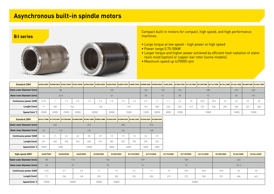### **Asynchronous built-in spindle motors**



461

**Length [mm] Speed [min-1]**

13000

Compact built-in motors for compact, high speed, and high performance machines.

- Large torque at low speed high power at high speed
- Power range 0.75-50kW
- Larger torque and higher power achieved by efficient heat radiation of stator resin mold (option) or copper-bar rotor (some models)
- Maximum speed up to 70000 rpm

| <b>Standard 200V</b>       | Bil50S/30000 Bil50M/25000 Bil50L/25000 |       |       |       | Bil50L/30000 Bil80S/20000 Bil80S/20000 |     | Bi1805/30000 Bi180M/15000 Bi180M/15000 Bi100SS/12000 Bi180M/30000 Bi180L/8000                                                                     |     |       |       |       |      |       |     |      |       |     | Bil100S/12500   Bil112S/15000   Bil112M/15000   Bil112L/15000   Bil112LL/15000   Bil132L/14000 | Bil160M/13000 Bil160L/13000 |       |
|----------------------------|----------------------------------------|-------|-------|-------|----------------------------------------|-----|---------------------------------------------------------------------------------------------------------------------------------------------------|-----|-------|-------|-------|------|-------|-----|------|-------|-----|------------------------------------------------------------------------------------------------|-----------------------------|-------|
| Stator outer Diameter [mm] |                                        |       | 88    |       |                                        |     | 120                                                                                                                                               |     |       | 156   |       | 120  | 156   |     | 180  |       |     | 210                                                                                            | 240                         |       |
| Rotor inner Diameter [mm]  |                                        | 34.8  |       |       |                                        |     | 41                                                                                                                                                |     |       | 58    | 41    |      | 58    |     | 74   |       |     | 84                                                                                             | 101                         |       |
| Continuous power [kW]      | 0.75                                   |       | 1.5   | 5.5   | 1.5                                    | 2.2 | 7.5                                                                                                                                               | 1.5 | 2.2   | 3.7   | 11    | 1.1  | 2.2   | 15  | 18.5 | 18.5  | 22  | 22                                                                                             | 22                          | 26    |
| Length [mm]                | 71                                     | 100   |       | 154   |                                        | 135 |                                                                                                                                                   |     | 195   | 152   | 205   | 245  | 202   | 219 | 272  | 330   | 394 | 360                                                                                            | 321                         | 406   |
| Speed [min <sup>-1</sup> ] | 25000                                  | 20000 | 25000 | 30000 | 20000                                  |     | 30000                                                                                                                                             |     | 15000 | 12000 | 30000 | 8000 | 12500 |     |      | 15000 |     | 14000                                                                                          |                             | 13000 |
| <b>Standard 200V</b>       |                                        |       |       |       |                                        |     | Bi116LL/13000 Bi1170S/6000 Bi170M/6000 Bi1180M/10000 Bi1180L/10000 Bi180LL/10000 Bi1200S/6000 Bi1200M/6000 Bi1200L/6000 Bi1250S/6000 Bi1250M/3000 |     |       |       |       |      |       |     |      |       |     |                                                                                                |                             |       |
| Stator outer Diameter [mm] |                                        | 240   |       |       | 292                                    |     |                                                                                                                                                   | 300 |       | 370   |       |      |       |     |      |       |     |                                                                                                |                             |       |
| Rotor inner Diameter [mm]  | 101                                    |       | 110   |       | 124                                    |     |                                                                                                                                                   | 146 |       | 168   |       |      |       |     |      |       |     |                                                                                                |                             |       |
| Continuous power [kW]      | 26                                     |       | 22    | 26    | 30                                     | 37  | 15                                                                                                                                                | 15  | 15    | 22    | 37    |      |       |     |      |       |     |                                                                                                |                             |       |

| High speed 200V            | Bil40S/70000 | <b>Bil60SS/50000</b> | Bil60S/50000 | Bil100S/20000 | Bil100S/30000    | Bil112SS/20000 | Bil112S/20000 | Bil112S/20000 | Bil112M/20000 | Bil112L/20000 | Bil160M/20000 | Bil160L/20000 | Bil160LL/20000 |
|----------------------------|--------------|----------------------|--------------|---------------|------------------|----------------|---------------|---------------|---------------|---------------|---------------|---------------|----------------|
| Stator outer Diameter [mm] | 88           |                      | 110          |               | 156              |                | 159           |               | 180           |               |               | 240           |                |
| Rotor inner Diameter [mm]  | 28           |                      | 37           |               | 70               |                | 74            |               | 74            |               |               | 101.4         |                |
| Continuous power [kW]      | 0.55         | 3.7                  | 5.5          |               | $\sim$ $-$<br>15 | 2.2            |               | 15            | 18.5          | 18.5          | 18.5          | 25            | 30             |
| Length $\textsf{[mm]}$     | 71           | 106                  | 145          |               | 202              | 155            | 200           | 219           | 272           | 330           | 321           | 406           | 461            |
| Speed [min-1]              | 70000        |                      | 50000        | 20000         | 30000            |                |               |               |               | 20000         |               |               |                |

1 | 265 | 335 | 363 | 455 | 515 | 302 | 322 | 394 | 395 | 522

0 | 6000 | 10000 | 5000 | 6000 | 4000 | 3000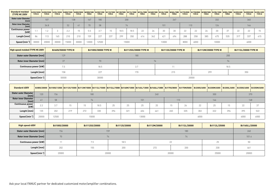| <b>Standard molded</b><br><b>(TYPE M) 200V</b> | <b>TYPE M</b> | <b>TYPE M</b>            | Bil50S/30000 Bil50M/25000 Bil50L/30000 Bil80M/15000<br><b>TYPE M</b> | <b>TYPE M</b> | Bil80M/30000<br><b>TYPE M</b> | <b>TYPEM</b> | <b>TYPEM</b> | Bil100SS/12000 Bil100S/12500 Bil112S/15000<br><b>TYPEM</b> | <b>TYPEM</b> | Bi112M/15000 Bi1112L/15000 Bi112LL/15000 Bi1160M/13000 Bi1160L/13000 Bi1160LL/13000 Bi1170S/8000 Bi1170M/8000 Bi1180M/10000<br><b>TYPEM</b> | <b>TYPEM</b> | <b>TYPEM</b> | <b>TYPEM</b> | <b>TYPEM</b> | <b>TYPE M</b> | <b>TYPE M</b> | <b>TYPEM</b> | Bil180L/10000<br><b>TYPEM</b> | <b>B</b> <sub>1180LL/10000</sub><br><b>TYPEM</b> | <b>B</b> <sub>1</sub> 2005/6000<br><b>TYPE M</b> | Bil200M/6000 Bil200L/6000<br><b>TYPE M</b> | TYPE M |
|------------------------------------------------|---------------|--------------------------|----------------------------------------------------------------------|---------------|-------------------------------|--------------|--------------|------------------------------------------------------------|--------------|---------------------------------------------------------------------------------------------------------------------------------------------|--------------|--------------|--------------|--------------|---------------|---------------|--------------|-------------------------------|--------------------------------------------------|--------------------------------------------------|--------------------------------------------|--------|
| Stator outer Diameter<br>[mm]                  |               | 107                      |                                                                      |               | 138                           | 167          | 180          |                                                            | 200          |                                                                                                                                             |              |              |              | 267          |               |               |              | 332                           |                                                  |                                                  | 340                                        |        |
| <b>Rotor inner Diameter</b><br>[mm]            |               | 34.8                     |                                                                      | 52            | 41                            | 70           | 58           |                                                            |              | 74                                                                                                                                          |              |              | 101          |              |               | 110           |              | 124                           |                                                  |                                                  | 146                                        |        |
| <b>Continuous power</b><br>[kW]                |               | $\overline{\phantom{a}}$ |                                                                      | $\cap$<br>L.L | 15.                           | U.U          | 3.7          |                                                            | 18.5         | 18.5                                                                                                                                        | 22           | 26           | 30           | 30           | 22            | 22            | 26           | 30                            | 37                                               | つつ                                               | 22                                         |        |
| Length [mm]                                    |               | 113                      | 165                                                                  | 210           | 210                           | 159          | 227          | 237                                                        | 299          | 350                                                                                                                                         | 414          | 342          | 421          | 494          | 288           | 358           | 385          | 475                           | 535                                              | 317                                              | 337                                        |        |
| Speed [min-1]                                  | 30000         | 20000                    | 30000                                                                | 15000         | 30000                         | 12000        | 12500        | 15000                                                      |              |                                                                                                                                             |              |              | 13000        |              | 8000          | 6000          |              | 10000                         |                                                  |                                                  | 6000                                       |        |

| High speed molded (TYPE M) 200V  | <b>Bil60S/50000 TYPE M</b> | <b>Bil100S/30000 TYPE M</b> | <b>Bil112SS/20000 TYPE M</b> | <b>Bil112S/20000 TYPE M</b> | <b>Bil112M/20000 TYPE M</b> | <b>Bil112L/20000 TYPE M</b> |
|----------------------------------|----------------------------|-----------------------------|------------------------------|-----------------------------|-----------------------------|-----------------------------|
| Stator outer Diameter [mm]       | 129                        |                             | 180                          |                             |                             | 200                         |
| <b>Rotor inner Diameter [mm]</b> | 37                         | 70                          |                              | 74                          |                             | 74                          |
| Continuous power [kW]            | 7.5                        | 18.5                        | 3.7                          |                             |                             | 18.5                        |
| Length $\text{[mm]}$             | 158                        | 227                         | 170                          | 215                         | 299                         | 350                         |
| Speed [min-1]                    | 50000                      | 30000                       |                              |                             | 20000                       |                             |

| <b>Standard 400V</b>                   |       |       |     |     |       |     |     |       |     |     |     |      |     |     |      | Bil80S/20000 Bil100S/12500 Bil112S/15000 Bil112M/15000 Bil112L/15000 Bil112L/15000 Bil12LL/15000 Bil100M/13000 Bil160L/13000 Bil160LL/13000 Bil170M/8000 Bil170M/8000 Bil200M/6000 Bil200L/6000 Bil200L/6000 Bil250M/6000 Bil2 |
|----------------------------------------|-------|-------|-----|-----|-------|-----|-----|-------|-----|-----|-----|------|-----|-----|------|--------------------------------------------------------------------------------------------------------------------------------------------------------------------------------------------------------------------------------|
| <b>Stator outer Diameter  </b><br>[mm] | 120   | 156   |     |     | 180   |     |     |       | 240 |     |     |      | 300 |     |      | 370                                                                                                                                                                                                                            |
| <b>Rotor inner Diameter</b><br>[mm]    | 41    | 58    |     |     | 74    |     |     | 101   |     |     | 110 |      | 146 |     |      | 168                                                                                                                                                                                                                            |
| <b>Continuous power</b><br>[kW]        | 2.2   | 3.7   | 15  | 15  | 18.5  | 25  | 25  | 25    | 25. | 15  | 26  | 22   | 25  | 15  | 22   | 37                                                                                                                                                                                                                             |
| Length [mm]                            | 135   | 202   | 219 | 272 | 330   | 394 | 321 | 406   | 461 | 265 | 335 | 302  | 322 | 394 | 395  | 522                                                                                                                                                                                                                            |
| Speed [min-1]                          | 20000 | 12500 |     |     | 15000 |     |     | 13000 |     |     |     | 6000 |     |     | 4000 | 6000                                                                                                                                                                                                                           |

| <b>High speed 400V</b>     | Bil100S/20000 | Bil112SS/20000<br>Bil112S/20000 |       | Bil112M/20000  | Bil112L/20000 | Bil112L/25000 | Bil160LL/20000 |
|----------------------------|---------------|---------------------------------|-------|----------------|---------------|---------------|----------------|
| Stator outer Diameter [mm] | 156           |                                 | 159   |                | 240           |               |                |
| Rotor inner Diameter [mm]  | 70            |                                 | 74    |                | 101.4         |               |                |
| Continuous power [kW]      | 11            | 7.5                             | 18.5  |                |               | 25            | 50             |
| Length [mm]                | 202           | 155                             | 200   | 272            | 330           | 330           | 461            |
| Speed $[min^{-1}]$         | 20000         |                                 | 20000 | 25000<br>20000 |               |               | 20000          |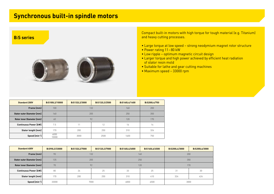### **Synchronous built-in spindle motors**



Compact built-in motors with high torque for tough material (e.g. Titanium) and heavy cutting processes.

- Large torque at low speed strong neodymium magnet rotor structure
- Power rating 11-80 kW
- Low ripple optimum magnetic circuit design
- Larger torque and high power achieved by efficient heat radiation of stator resin mold
- Suitable for lathe and gear cutting machines
- Maximum speed 33000 rpm

| <b>Standard 200V</b>             | BiS100L2/10000 | BiS132L2/3000 | BiS132L3/2500 | BiS160L4/1400 | <b>BiS200L4/750</b> |
|----------------------------------|----------------|---------------|---------------|---------------|---------------------|
| Frame [mm]                       | 100            |               | 132           | 160           | 200                 |
| Stator outer Diameter [mm]       | 160            |               | 205           | 250           | 350                 |
| <b>Rotor inner Diameter [mm]</b> | 60             |               | 92<br>120     |               | 170                 |
| <b>Continuous Power [kW]</b>     | 7.5            | 11            | 12            | 16            | 14                  |
| Stator length [mm]               | 170            | 200<br>250    |               | 310           | 324                 |
| Speed [min-1]                    | 6000<br>10000  | 3000          | 2500          | 1400          | 750                 |

| <b>Standard 400V</b>         | BiS90L3/33000 | BiS132L2/7000 | BiS132L3/7000 | BiS160L4/6000 | BiS160L6/4500 | BiS200L4/3000 | BiS200L6/3000 |  |
|------------------------------|---------------|---------------|---------------|---------------|---------------|---------------|---------------|--|
| Frame [mm]                   | 90            | 132           |               |               | 160           | 200           |               |  |
| Stator outer Diameter [mm]   | 135           |               | 205           |               | 250           | 350           |               |  |
| Rotor inner Diameter [mm]    | 70            | 92            |               |               | 120           | 170           |               |  |
| <b>Continuous Power [kW]</b> | 80            | 24            | 25            | 33            | 25            | 31            | 30            |  |
| Stator length [mm]           | 170           | 200           | 250           | 310           | 410           | 324           | 424           |  |
| Speed [min <sup>-1</sup> ]   | 33000         | 7000          |               | 6000<br>4500  |               | 3000          |               |  |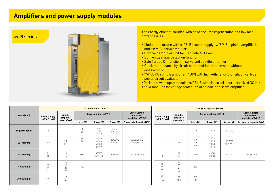### **Amplifiers and power supply modules**

*αi***-B series**



The energy efficient solution with power source regeneration and low loss power devices.

- Modular structure with *αi*PS-B (power supply), *αi*SP-B (spindle amplifier), and *αi*SV-B (servo amplifier)
- Compact amplifier unit for 1 spindle & 3 axes
- Built-in Leakage Detection function
- Safe Torque Off function in servo and spindle amplifier
- Quick maintenance by circuit board and fan replacement without disassembly
- 75/100kW spindle amplifier (400V) with high-efficiency SIC (silicon carbide) power circuit available
- Various power supply modules *αi*PSs-B with sinusoidal input stabilized DC link
- SSM modules for voltage protection of spindle and servo amplifier

|                  | $\alpha i$ -B amplifier (200V)       |                                             |                        |                                  |                                                  |                                      |                      | $\alpha i$ -B (HV) amplifier (400V) |                |                                                  |                      |                               |  |
|------------------|--------------------------------------|---------------------------------------------|------------------------|----------------------------------|--------------------------------------------------|--------------------------------------|----------------------|-------------------------------------|----------------|--------------------------------------------------|----------------------|-------------------------------|--|
| Width [mm]       | Power supply<br>$\alpha i$ PS-B [kW] | Spindle<br>amplifier<br>$\alpha i$ SP-B[kW] | Servo amplifier aiSV-B |                                  | Servo/Spindle<br>multi-axes<br>amplifier aiSVP-B | Power supply<br>$\alpha i$ PS-B [kW] | Spindle<br>amplifier | Servo amplifier aiSV-B              |                | Servo/Spindle<br>multi-axes<br>amplifier aiSVP-B |                      |                               |  |
|                  |                                      |                                             | 1 axis [A]             | 2 axes [A]                       | 3 axes [A]                                       | 3 axes [A] - 1 spindle [kW]          |                      | $\alpha i$ SP-B [kW]                | 1 axis [A]     | 2 axes [A]                                       | 3 axes [A]           | $3$ axes [A] – 1 spindle [kW] |  |
| 60 (without fin) | 3                                    |                                             | 4<br>20                | 4/4<br>4/20<br>20/20             | 4/4/4<br>20/20/20                                |                                      |                      |                                     | 10             | 10/10                                            | 10/10/10             |                               |  |
| 60 (with fin)    | 7.5                                  | 2.2<br>5.5                                  | 40<br>80<br>160        | 20/40<br>40/40<br>40/80<br>80/80 | 20/20/40<br>40/40/40                             | 20/20/20-2.2<br>40/40/40-2.2         |                      | 5.5                                 | 20<br>40<br>80 | 10/20<br>20/20<br>20/40<br>40/40                 | 10/10/20<br>20/20/20 |                               |  |
| 90 (with fin)    | 11<br>15                             | 11<br>15                                    | 360S                   | 80/160<br>160/160                | 80/80/80                                         | $20/20/20 - 5.5$                     | 11<br>18             | 11<br>15                            | 180S           | 40/80<br>80/80                                   | 40/40/40             | 10/10/10-5.5                  |  |
| 150 (with fin)   | 26<br>$30\,$<br>37                   | 22<br>26<br>$30\,$<br>37                    | 360                    |                                  |                                                  |                                      | 30<br>45<br>60       | $22\,$<br>30<br>45<br>60            | 180            |                                                  |                      |                               |  |
| 300 (with fin)   | 55                                   | 45<br>55                                    |                        |                                  |                                                  |                                      | 75<br>100<br>125     | 75<br>100                           | 360<br>540     |                                                  |                      |                               |  |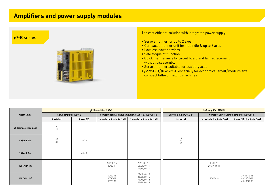### **Amplifiers and power supply modules**

#### *βi***-B series**



The cost efficient solution with integrated power supply.

- Servo amplifier for up to 2 axes
- Compact amplifier unit for 1 spindle & up to 3 axes
- Low loss power devices
- Safe torque off function
- Quick maintenance by circuit board and fan replacement without disassembly
- Servo amplifier suitable for auxiliary axes
- *βi*SVSP-B/*βi*SVSPc-B especially for economical small/medium size compact lathe or milling machines

|                      |                                |            | $\beta$ <i>i</i> -B amplifier (200V)                                | $\beta$ <i>i</i> -B amplifier (400V)                     |  |                                                   |                                                  |                                           |  |
|----------------------|--------------------------------|------------|---------------------------------------------------------------------|----------------------------------------------------------|--|---------------------------------------------------|--------------------------------------------------|-------------------------------------------|--|
| Width [mm]           | Servo amplifier $\beta i$ SV-B |            | Compact servo/spindle amplifier $\beta i$ SVSP-B/ $\beta i$ SVSPc-B |                                                          |  | Servo amplifier $\beta i$ SV-B                    | Compact Servo/Spindle amplifier $\beta i$ SVSP-B |                                           |  |
|                      | 1 axis [A]                     | 2 axes [A] | 2 axes [A] - 1 spindle [kW]                                         | 3 axes [A] - 1 spindle [kW]                              |  | 1 axes [A]                                        | 2 axes [A] - 1 spindle [kW]                      | 3 axes [A] - 1 spindle [kW]               |  |
| 75 (compact modules) | $\frac{4}{20}$                 |            |                                                                     |                                                          |  |                                                   |                                                  |                                           |  |
| 60 (with fin)        | $40\,$<br>80                   | 20/20      |                                                                     |                                                          |  | $\begin{array}{c} 10 \\ 20 \end{array}$<br>$40\,$ |                                                  |                                           |  |
| 90 (with fin)        |                                | 40/40      |                                                                     |                                                          |  |                                                   |                                                  |                                           |  |
| 180 (with fin)       |                                |            | 20/20-7.5<br>20/20-11                                               | 20/20/40-7.5<br>20/20/40-11<br>40/40/40-11               |  |                                                   | $10/10 - 11$<br>20/20/20-11                      |                                           |  |
| 160 (with fin)       |                                |            | $40/40 - 15$<br>40/40-18<br>80/80-18                                | 40/40/40-15<br>40/40/80-15<br>40/40/80-18<br>80/80/80-18 |  |                                                   | 40/40-18                                         | 20/20/40-15<br>40/40/40-18<br>40/40/80-15 |  |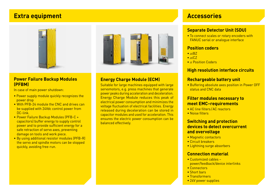#### **Extra equipment Accessories**



#### **Power Failure Backup Modules (PFBM)**

In case of main power shutdown:

- Power supply module quickly recognizes the power drop
- With PFB-24 module the CNC and drives can be supplied with 24Vdc control power from DC-link.
- Power Failure Backup Modules (PFB-C + capacitors) buffer energy to supply control power and to provide sufficient energy for a safe retraction of servo axes, preventing damage on tools and work piece.
- By using additional resistor modules (PFB-R) the servo and spindle motors can be stopped quickly, avoiding free-run.



#### **Energy Charge Module (ECM)**

Suitable for large machines equipped with large servomotors, e.g. press machines that generate power peaks during acceleration and deceleration. Energy Charge Module reduces this peak of electrical power consumption and minimizes the voltage fluctuation of electrical facilities. Energy released during deceleration can be stored in capacitor modules and used for acceleration. This ensures the electric power consumption can be balanced effectively.

#### **Separate Detector Unit (SDU)**

• To connect scales or rotary encoders with FANUC serial or analogue interface

#### **Position coders**

- *αi*BZ
- *αi*CZ
- *α* Position Coders

#### **High resolution interface circuits**

#### **Rechargeable battery unit**

• Buffering absolute axes position in Power OFF status and CNC data

#### **Filter modules necessary to meet EMC–requirements**

- AC line filters /AC reactors
- Noise filters

#### **Switching and protection devices to detect overcurrentand overvoltage**

- Magnetic contactors
- Circuit breakers
- Lightning surge absorbers

#### **Connection material**

- Customized cables power/feedback/device interlinks
- Connectors
- Short bars
- Transformers
- 24V power supplies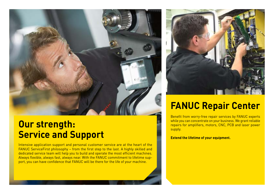

## **Our strength: Service and Support**

Intensive application support and personal customer service are at the heart of the FANUC ServiceFirst philosophy – from the first step to the last. A highly skilled and dedicated service team will help you to build and operate the most efficient machines. Always flexible, always fast, always near. With the FANUC commitment to lifetime support, you can have confidence that FANUC will be there for the life of your machine.



# **FANUC Repair Center**

Benefit from worry-free repair services by FANUC experts while you can concentrate on your business. We grant reliable repairs for amplifiers, motors, CNC, PCB and laser power supply.

**Extend the lifetime of your equipment.**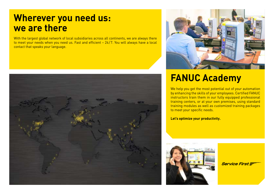## **Wherever you need us: we are there**

With the largest global network of local subsidiaries across all continents, we are always there to meet your needs when you need us. Fast and efficient – 24/7. You will always have a local contact that speaks your language.





# **FANUC Academy**

We help you get the most potential out of your automation by enhancing the skills of your employees. Certified FANUC instructors train them in our fully equipped professional training centers, or at your own premises, using standard training modules as well as customized training packages to meet your specific needs.

**Let's optimize your productivity.**



**Service First**